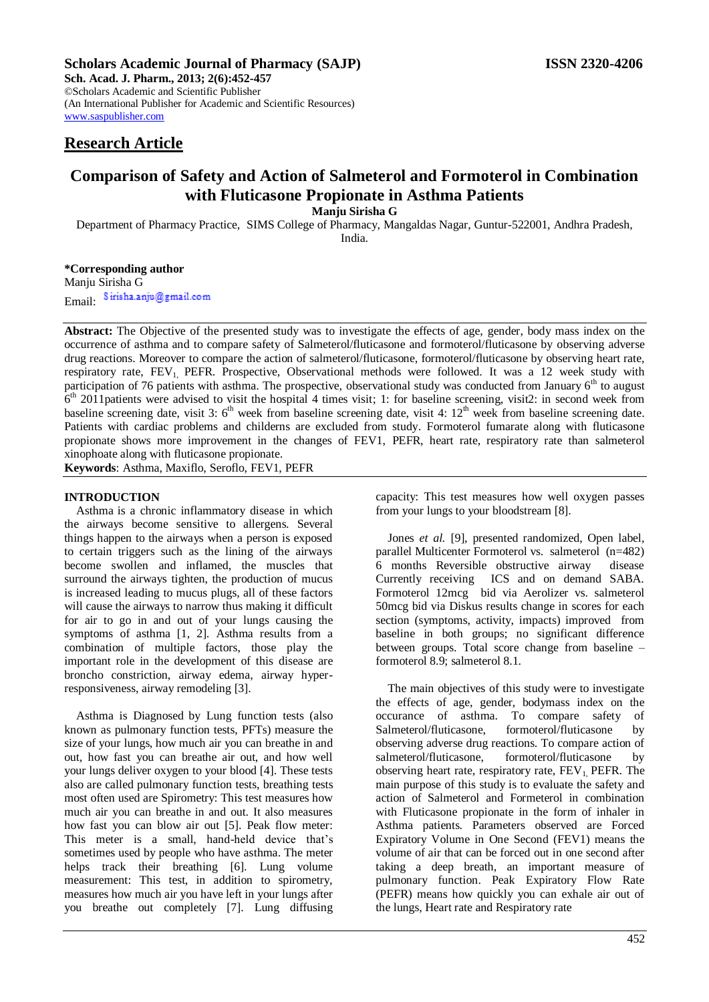# **Scholars Academic Journal of Pharmacy (SAJP) ISSN 2320-4206**

**Sch. Acad. J. Pharm., 2013; 2(6):452-457** ©Scholars Academic and Scientific Publisher (An International Publisher for Academic and Scientific Resources) [www.saspublisher.com](http://www.saspublisher.com/) 

# **Research Article**

# **Comparison of Safety and Action of Salmeterol and Formoterol in Combination with Fluticasone Propionate in Asthma Patients**

**Manju Sirisha G**

Department of Pharmacy Practice, SIMS College of Pharmacy, Mangaldas Nagar, Guntur-522001, Andhra Pradesh,

India.

# **\*Corresponding author** Manju Sirisha G Email: Sirisha.anju@gmail.com

**Abstract:** The Objective of the presented study was to investigate the effects of age, gender, body mass index on the occurrence of asthma and to compare safety of Salmeterol/fluticasone and formoterol/fluticasone by observing adverse drug reactions. Moreover to compare the action of salmeterol/fluticasone, formoterol/fluticasone by observing heart rate, respiratory rate, FEV<sub>1</sub> PEFR. Prospective, Observational methods were followed. It was a 12 week study with participation of 76 patients with asthma. The prospective, observational study was conducted from January 6<sup>th</sup> to august  $6<sup>th</sup>$  2011patients were advised to visit the hospital 4 times visit; 1: for baseline screening, visit2: in second week from baseline screening date, visit 3:  $6<sup>th</sup>$  week from baseline screening date, visit 4:  $12<sup>th</sup>$  week from baseline screening date. Patients with cardiac problems and childerns are excluded from study. Formoterol fumarate along with fluticasone propionate shows more improvement in the changes of FEV1, PEFR, heart rate, respiratory rate than salmeterol xinophoate along with fluticasone propionate.

**Keywords**: Asthma, Maxiflo, Seroflo, FEV1, PEFR

# **INTRODUCTION**

Asthma is a chronic inflammatory disease in which the airways become sensitive to allergens. Several things happen to the airways when a person is exposed to certain triggers such as the lining of the airways become swollen and inflamed, the muscles that surround the airways tighten, the production of mucus is increased leading to mucus plugs, all of these factors will cause the airways to narrow thus making it difficult for air to go in and out of your lungs causing the symptoms of asthma [1, 2]. Asthma results from a combination of multiple factors, those play the important role in the development of this disease are broncho constriction, airway edema, airway hyperresponsiveness, airway remodeling [3].

Asthma is Diagnosed by Lung function tests (also known as pulmonary function tests, PFTs) measure the size of your lungs, how much air you can breathe in and out, how fast you can breathe air out, and how well your lungs deliver oxygen to your blood [4]. These tests also are called pulmonary function tests, breathing tests most often used are Spirometry: This test measures how much air you can breathe in and out. It also measures how fast you can blow air out [5]. Peak flow meter: This meter is a small, hand-held device that's sometimes used by people who have asthma. The meter helps track their breathing [6]. Lung volume measurement: This test, in addition to spirometry, measures how much air you have left in your lungs after you breathe out completely [7]. Lung diffusing

capacity: This test measures how well oxygen passes from your lungs to your bloodstream [8].

Jones *et al.* [9], presented randomized, Open label, parallel Multicenter Formoterol vs. salmeterol (n=482) 6 months Reversible obstructive airway disease Currently receiving ICS and on demand SABA. Formoterol 12mcg bid via Aerolizer vs. salmeterol 50mcg bid via Diskus results change in scores for each section (symptoms, activity, impacts) improved from baseline in both groups; no significant difference between groups. Total score change from baseline – formoterol 8.9; salmeterol 8.1.

The main objectives of this study were to investigate the effects of age, gender, bodymass index on the occurance of asthma. To compare safety of Salmeterol/fluticasone, formoterol/fluticasone by observing adverse drug reactions. To compare action of salmeterol/fluticasone, formoterol/fluticasone by observing heart rate, respiratory rate,  $FEV<sub>1</sub>$  PEFR. The main purpose of this study is to evaluate the safety and action of Salmeterol and Formeterol in combination with Fluticasone propionate in the form of inhaler in Asthma patients. Parameters observed are Forced Expiratory Volume in One Second (FEV1) means the volume of air that can be forced out in one second after taking a deep breath, an important measure of pulmonary function. Peak Expiratory Flow Rate (PEFR) means how quickly you can exhale air out of the lungs, Heart rate and Respiratory rate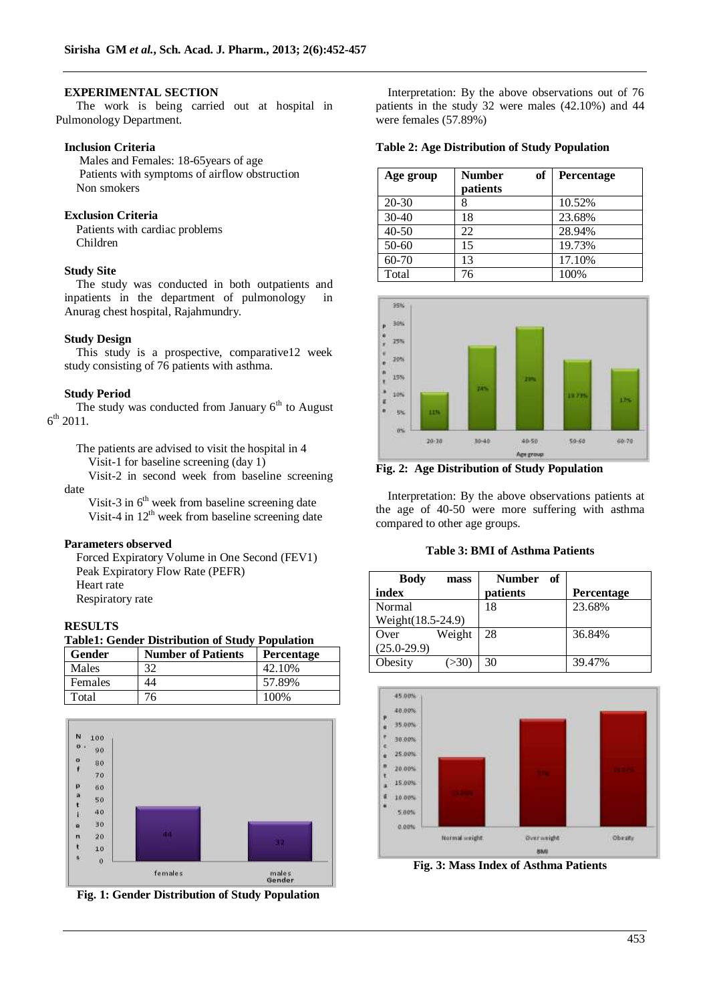# **EXPERIMENTAL SECTION**

 The work is being carried out at hospital in Pulmonology Department.

# **Inclusion Criteria**

Males and Females: 18-65years of age Patients with symptoms of airflow obstruction Non smokers

# **Exclusion Criteria**

Patients with cardiac problems Children

# **Study Site**

The study was conducted in both outpatients and inpatients in the department of pulmonology in Anurag chest hospital, Rajahmundry.

# **Study Design**

This study is a prospective, comparative12 week study consisting of 76 patients with asthma.

#### **Study Period**

The study was conducted from January  $6<sup>th</sup>$  to August  $6^{\text{th}}$  2011.

The patients are advised to visit the hospital in 4 Visit-1 for baseline screening (day 1)

Visit-2 in second week from baseline screening date

Visit-3 in  $6<sup>th</sup>$  week from baseline screening date Visit-4 in  $12<sup>th</sup>$  week from baseline screening date

#### **Parameters observed**

Forced Expiratory Volume in One Second (FEV1) Peak Expiratory Flow Rate (PEFR) Heart rate Respiratory rate

#### **RESULTS**

**Table1: Gender Distribution of Study Population**

| Gender  | <b>Number of Patients</b> | Percentage |
|---------|---------------------------|------------|
| Males   | 32                        | 42.10%     |
| Females | 44                        | 57.89%     |
| Total   | 76                        | 100%       |





Interpretation: By the above observations out of 76 patients in the study 32 were males (42.10%) and 44 were females (57.89%)

#### **Table 2: Age Distribution of Study Population**

| Age group | of<br><b>Number</b><br>patients | Percentage |
|-----------|---------------------------------|------------|
| $20 - 30$ | 8                               | 10.52%     |
| $30-40$   | 18                              | 23.68%     |
| $40 - 50$ | 22                              | 28.94%     |
| $50 - 60$ | 15                              | 19.73%     |
| $60 - 70$ | 13                              | 17.10%     |
| Total     | 76                              | 100%       |



**Fig. 2: Age Distribution of Study Population**

Interpretation: By the above observations patients at the age of 40-50 were more suffering with asthma compared to other age groups.

#### **Table 3: BMI of Asthma Patients**

| <b>Body</b><br>mass<br>index    | Number of<br>patients | <b>Percentage</b> |
|---------------------------------|-----------------------|-------------------|
| Normal<br>Weight(18.5-24.9)     | 18                    | 23.68%            |
| Weight<br>Over<br>$(25.0-29.9)$ | 28                    | 36.84%            |
| Obesity<br>(>30)                | 30                    | 39.47%            |



**Fig. 3: Mass Index of Asthma Patients**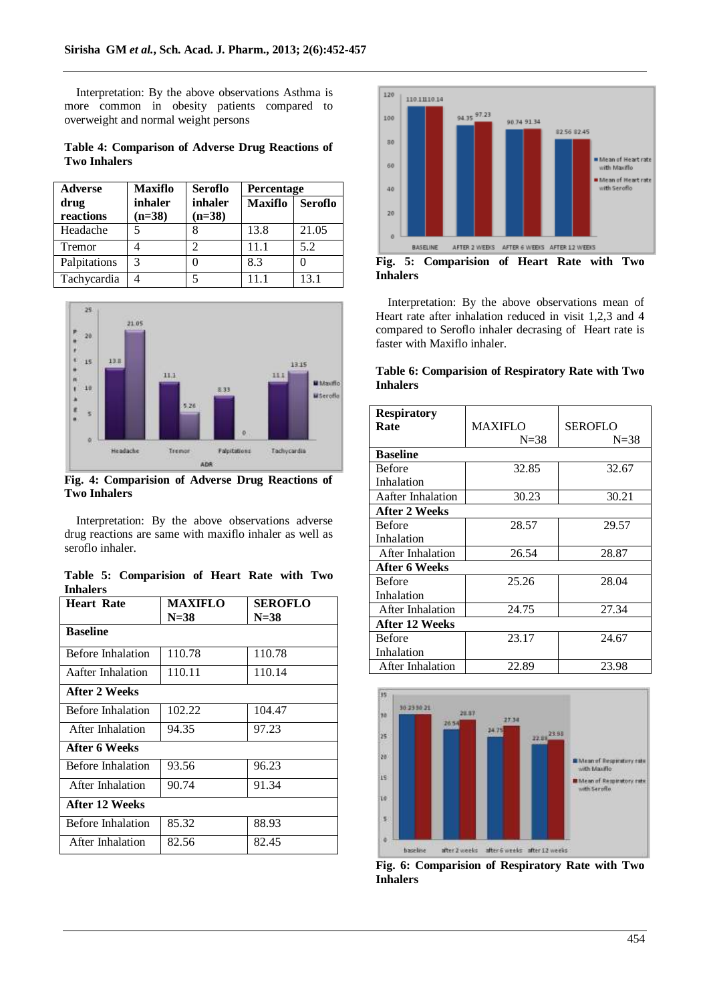Interpretation: By the above observations Asthma is more common in obesity patients compared to overweight and normal weight persons

**Table 4: Comparison of Adverse Drug Reactions of Two Inhalers**

| <b>Adverse</b> | <b>Maxiflo</b> | <b>Seroflo</b> | <b>Percentage</b> |                |
|----------------|----------------|----------------|-------------------|----------------|
| drug           | inhaler        | inhaler        | <b>Maxiflo</b>    | <b>Seroflo</b> |
| reactions      | $(n=38)$       | $(n=38)$       |                   |                |
| Headache       |                |                | 13.8              | 21.05          |
| Tremor         |                | っ              | 11.1              | 5.2            |
| Palpitations   | 3              |                | 8.3               |                |
| Tachycardia    |                |                |                   | 131            |



**Fig. 4: Comparision of Adverse Drug Reactions of Two Inhalers**

Interpretation: By the above observations adverse drug reactions are same with maxiflo inhaler as well as seroflo inhaler.

**Table 5: Comparision of Heart Rate with Two Inhalers**

| <b>Heart Rate</b> | MAXIFLO | SEROFLO  |
|-------------------|---------|----------|
|                   | $N=38$  | $N = 38$ |
| <b>Baseline</b>   |         |          |
| Before Inhalation | 110.78  | 110.78   |
| Aafter Inhalation | 110.11  | 110.14   |
| After 2 Weeks     |         |          |
| Before Inhalation | 102.22  | 104.47   |
| After Inhalation  | 94.35   | 97.23    |
| After 6 Weeks     |         |          |
| Before Inhalation | 93.56   | 96.23    |
| After Inhalation  | 90.74   | 91.34    |
| After 12 Weeks    |         |          |
| Before Inhalation | 85.32   | 88.93    |
| After Inhalation  | 82.56   | 82.45    |



Interpretation: By the above observations mean of Heart rate after inhalation reduced in visit 1,2,3 and 4 compared to Seroflo inhaler decrasing of Heart rate is faster with Maxiflo inhaler.

# **Table 6: Comparision of Respiratory Rate with Two Inhalers**

| <b>Respiratory</b> |                |                |
|--------------------|----------------|----------------|
| Rate               | <b>MAXIFLO</b> | <b>SEROFLO</b> |
|                    | $N=38$         | $N = 38$       |
| <b>Baseline</b>    |                |                |
| <b>Before</b>      | 32.85          | 32.67          |
| Inhalation         |                |                |
| Aafter Inhalation  | 30.23          | 30.21          |
| After 2 Weeks      |                |                |
| <b>Before</b>      | 28.57          | 29.57          |
| Inhalation         |                |                |
| After Inhalation   | 26.54          | 28.87          |
| After 6 Weeks      |                |                |
| <b>Before</b>      | 25.26          | 28.04          |
| Inhalation         |                |                |
| After Inhalation   | 24.75          | 27.34          |
| After 12 Weeks     |                |                |
| <b>Before</b>      | 23.17          | 24.67          |
| Inhalation         |                |                |
| After Inhalation   | 22.89          | 23.98          |



**Fig. 6: Comparision of Respiratory Rate with Two Inhalers**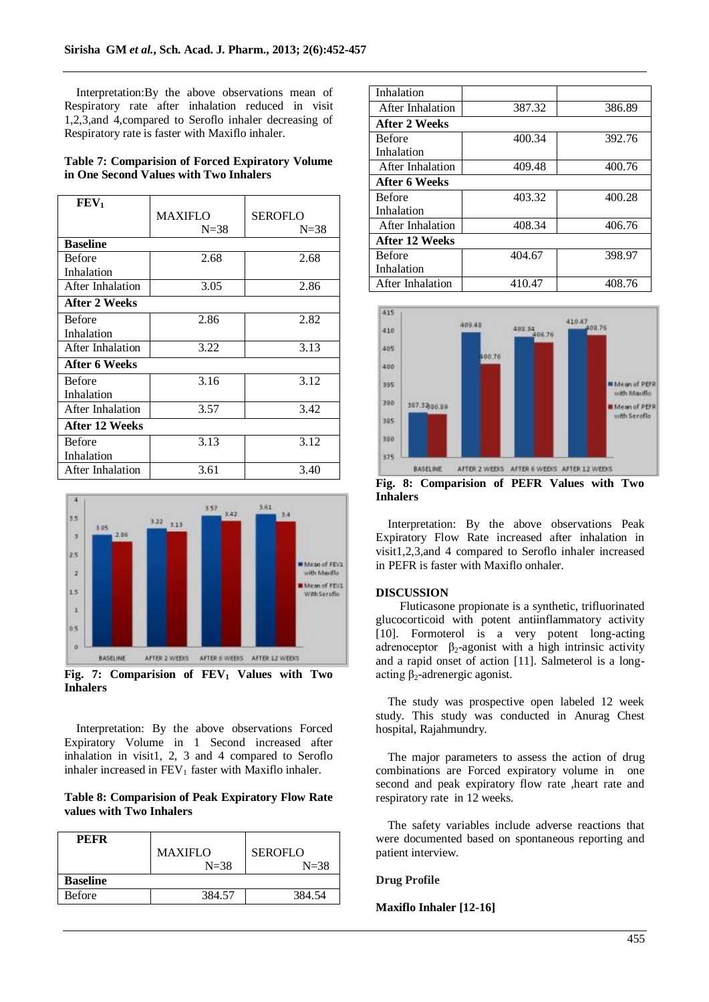Interpretation:By the above observations mean of Respiratory rate after inhalation reduced in visit 1,2,3,and 4,compared to Seroflo inhaler decreasing of Respiratory rate is faster with Maxiflo inhaler.

| <b>Table 7: Comparision of Forced Expiratory Volume</b> |  |
|---------------------------------------------------------|--|
| in One Second Values with Two Inhalers                  |  |

| FEV <sub>1</sub>        |                |          |
|-------------------------|----------------|----------|
|                         | <b>MAXIFLO</b> | SEROFLO  |
|                         | $N = 38$       | $N = 38$ |
| <b>Baseline</b>         |                |          |
| <b>Before</b>           | 2.68           | 2.68     |
| Inhalation              |                |          |
| After Inhalation        | 3.05           | 2.86     |
| After 2 Weeks           |                |          |
| <b>Before</b>           | 2.86           | 2.82     |
| Inhalation              |                |          |
| After Inhalation        | 3.22           | 3.13     |
| <b>After 6 Weeks</b>    |                |          |
| <b>Before</b>           | 3.16           | 3.12     |
| Inhalation              |                |          |
| After Inhalation        | 3.57           | 3.42     |
| After 12 Weeks          |                |          |
| <b>Before</b>           | 3.13           | 3.12     |
| Inhalation              |                |          |
| <b>After Inhalation</b> | 3.61           | 3.40     |



**Fig. 7: Comparision of FEV<sup>1</sup> Values with Two Inhalers**

Interpretation: By the above observations Forced Expiratory Volume in 1 Second increased after inhalation in visit1, 2, 3 and 4 compared to Seroflo inhaler increased in  $FEV<sub>1</sub>$  faster with Maxiflo inhaler.

# **Table 8: Comparision of Peak Expiratory Flow Rate values with Two Inhalers**

| <b>PEFR</b>     | <b>MAXIFLO</b><br>$N = 38$ | <b>SEROFLO</b><br>$N=38$ |
|-----------------|----------------------------|--------------------------|
| <b>Baseline</b> |                            |                          |
| <b>Before</b>   | 384.57                     | 384.54                   |

| Inhalation              |        |        |
|-------------------------|--------|--------|
| After Inhalation        | 387.32 | 386.89 |
| <b>After 2 Weeks</b>    |        |        |
| <b>Before</b>           | 400.34 | 392.76 |
| Inhalation              |        |        |
| After Inhalation        | 409.48 | 400.76 |
| After 6 Weeks           |        |        |
| <b>Before</b>           | 403.32 | 400.28 |
| Inhalation              |        |        |
| After Inhalation        | 408.34 | 406.76 |
| After 12 Weeks          |        |        |
| <b>Before</b>           | 404.67 | 398.97 |
| Inhalation              |        |        |
| <b>After Inhalation</b> | 410.47 | 408.76 |



**Fig. 8: Comparision of PEFR Values with Two Inhalers**

Interpretation: By the above observations Peak Expiratory Flow Rate increased after inhalation in visit1,2,3,and 4 compared to Seroflo inhaler increased in PEFR is faster with Maxiflo onhaler.

# **DISCUSSION**

Fluticasone propionate is a synthetic, trifluorinated glucocorticoid with potent antiinflammatory activity [10]. Formoterol is a very potent long-acting adrenoceptor  $\beta_2$ -agonist with a high intrinsic activity and a rapid onset of action [11]. Salmeterol is a longacting  $β_2$ -adrenergic agonist.

The study was prospective open labeled 12 week study. This study was conducted in Anurag Chest hospital, Rajahmundry.

The major parameters to assess the action of drug combinations are Forced expiratory volume in one second and peak expiratory flow rate ,heart rate and respiratory rate in 12 weeks.

The safety variables include adverse reactions that were documented based on spontaneous reporting and patient interview.

#### **Drug Profile**

#### **Maxiflo Inhaler [12-16]**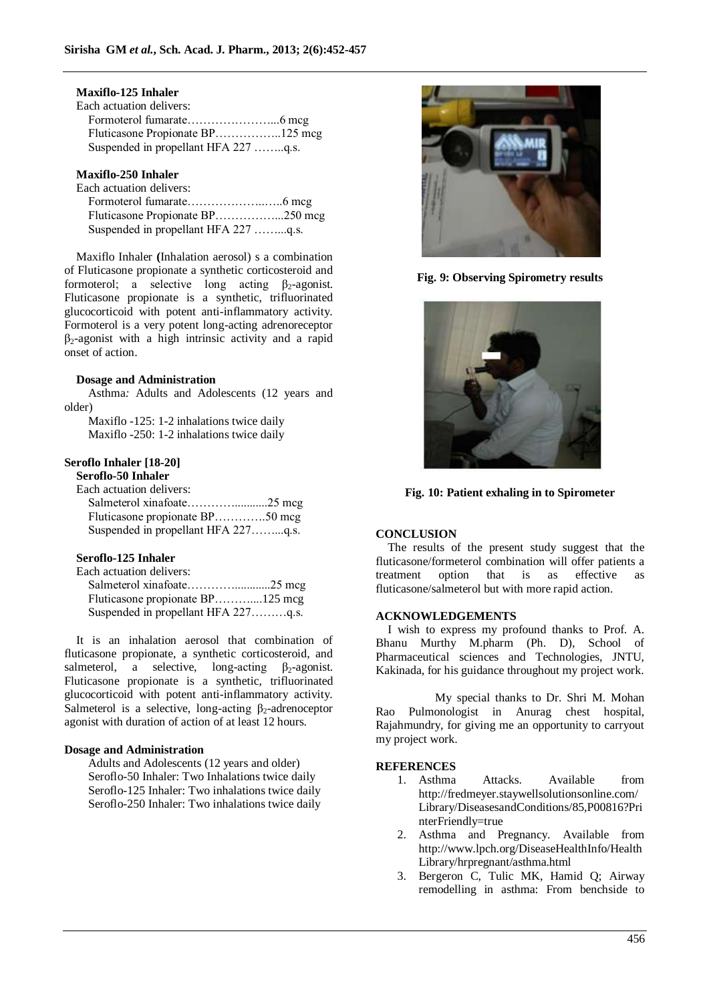# **Maxiflo-125 Inhaler**

| Each actuation delivers:             |  |
|--------------------------------------|--|
|                                      |  |
|                                      |  |
| Suspended in propellant HFA 227 q.s. |  |

# **Maxiflo-250 Inhaler**

Each actuation delivers:

| Fluticasone Propionate BP250 mcg     |  |
|--------------------------------------|--|
| Suspended in propellant HFA 227 q.s. |  |

Maxiflo Inhaler **(**Inhalation aerosol) s a combination of Fluticasone propionate a synthetic corticosteroid and formoterol; a selective long acting  $\beta_2$ -agonist. Fluticasone propionate is a synthetic, trifluorinated glucocorticoid with potent anti-inflammatory activity. Formoterol is a very potent long-acting adrenoreceptor  $\beta_2$ -agonist with a high intrinsic activity and a rapid onset of action.

#### **Dosage and Administration**

Asthma*:* Adults and Adolescents (12 years and older)

Maxiflo -125: 1-2 inhalations twice daily Maxiflo -250: 1-2 inhalations twice daily

# **Seroflo Inhaler [18-20]**

**Seroflo-50 Inhaler**

| Each actuation delivers:            |  |
|-------------------------------------|--|
|                                     |  |
| Fluticasone propionate BP50 mcg     |  |
| Suspended in propellant HFA 227q.s. |  |

# **Seroflo-125 Inhaler**

| Fluticasone propionate BP125 mcg    |  |
|-------------------------------------|--|
| Suspended in propellant HFA 227q.s. |  |

It is an inhalation aerosol that combination of fluticasone propionate, a synthetic corticosteroid, and salmeterol, a selective, long-acting  $\beta_2$ -agonist. Fluticasone propionate is a synthetic, trifluorinated glucocorticoid with potent anti-inflammatory activity. Salmeterol is a selective, long-acting  $\beta_2$ -adrenoceptor agonist with duration of action of at least 12 hours.

# **Dosage and Administration**

Adults and Adolescents (12 years and older) Seroflo-50 Inhaler: Two Inhalations twice daily Seroflo-125 Inhaler: Two inhalations twice daily Seroflo-250 Inhaler: Two inhalations twice daily



**Fig. 9: Observing Spirometry results**



**Fig. 10: Patient exhaling in to Spirometer**

# **CONCLUSION**

The results of the present study suggest that the fluticasone/formeterol combination will offer patients a treatment option that is as effective as fluticasone/salmeterol but with more rapid action.

### **ACKNOWLEDGEMENTS**

I wish to express my profound thanks to Prof. A. Bhanu Murthy M.pharm (Ph. D), School of Pharmaceutical sciences and Technologies, JNTU, Kakinada, for his guidance throughout my project work.

 My special thanks to Dr. Shri M. Mohan Rao Pulmonologist in Anurag chest hospital, Rajahmundry, for giving me an opportunity to carryout my project work.

#### **REFERENCES**

- 1. Asthma Attacks. Available from [http://fredmeyer.staywellsolutionsonline.com/](http://fredmeyer.staywellsolutionsonline.com/Library/DiseasesandConditions/85,P00816?PrinterFriendly=true) [Library/DiseasesandConditions/85,P00816?Pri](http://fredmeyer.staywellsolutionsonline.com/Library/DiseasesandConditions/85,P00816?PrinterFriendly=true) [nterFriendly=true](http://fredmeyer.staywellsolutionsonline.com/Library/DiseasesandConditions/85,P00816?PrinterFriendly=true)
- 2. Asthma and Pregnancy. Available from [http://www.lpch.org/DiseaseHealthInfo/Health](http://www.lpch.org/DiseaseHealthInfo/HealthLibrary/hrpregnant/asthma.html) [Library/hrpregnant/asthma.html](http://www.lpch.org/DiseaseHealthInfo/HealthLibrary/hrpregnant/asthma.html)
- 3. Bergeron C, Tulic MK, Hamid Q; Airway remodelling in asthma: From benchside to